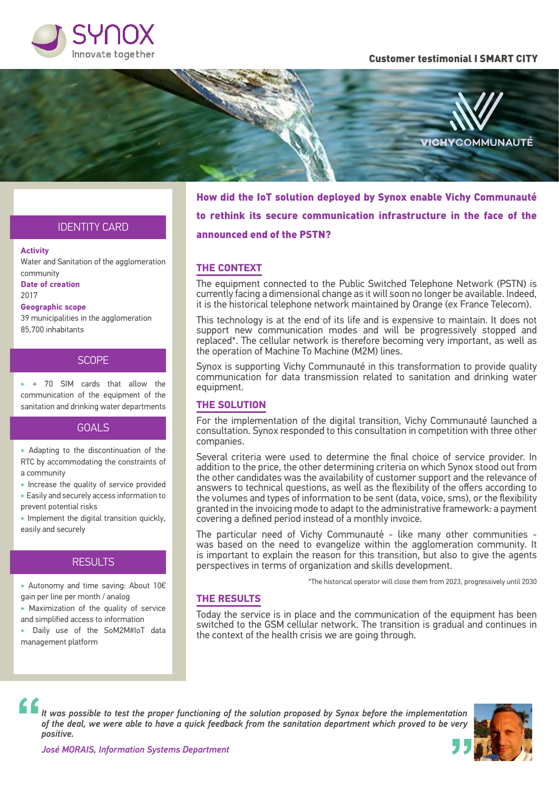

#### Customer testimonial I SMART CITY



How did the IoT solution deployed by Synox enable Vichy Communauté to rethink its secure communication infrastructure in the face of the announced end of the PSTN?

## IDENTITY CARD

#### **Activity**

Water and Sanitation of the agglomeration community **Date of creation** 2017 **Geographic scope**

39 municipalities in the agglomeration 85,700 inhabitants

# **SCOPE**

 $\rightarrow$  + 70 SIM cards that allow the communication of the equipment of the sanitation and drinking water departments

### GOALS

 $\triangleright$  Adapting to the discontinuation of the RTC by accommodating the constraints of a community

- $\blacktriangleright$  Increase the quality of service provided  $\blacktriangleright$  Easily and securely access information to prevent potential risks
- $\blacktriangleright$  Implement the digital transition quickly, easily and securely

# **RESULTS**

‣ Autonomy and time saving: About 10€ gain per line per month / analog

 $\blacktriangleright$  Maximization of the quality of service and simplified access to information

‣ Daily use of the SoM2M#IoT data management platform

## **THE CONTEXT**

The equipment connected to the Public Switched Telephone Network (PSTN) is currently facing a dimensional change as it will soon no longer be available. Indeed, it is the historical telephone network maintained by Orange (ex France Telecom).

This technology is at the end of its life and is expensive to maintain. It does not support new communication modes and will be progressively stopped and replaced\*. The cellular network is therefore becoming very important, as well as the operation of Machine To Machine (M2M) lines.

Synox is supporting Vichy Communauté in this transformation to provide quality communication for data transmission related to sanitation and drinking water equipment.

#### **THE SOLUTION**

For the implementation of the digital transition, Vichy Communauté launched a consultation. Synox responded to this consultation in competition with three other companies.

Several criteria were used to determine the final choice of service provider. In addition to the price, the other determining criteria on which Synox stood out from the other candidates was the availability of customer support and the relevance of answers to technical questions, as well as the flexibility of the offers according to the volumes and types of information to be sent (data, voice, sms), or the flexibility granted in the invoicing mode to adapt to the administrative framework: a payment covering a defined period instead of a monthly invoice.

The particular need of Vichy Communauté - like many other communities was based on the need to evangelize within the agglomeration community. It is important to explain the reason for this transition, but also to give the agents perspectives in terms of organization and skills development.

\*The historical operator will close them from 2023, progressively until 2030

### **THE RESULTS**

Today the service is in place and the communication of the equipment has been switched to the GSM cellular network. The transition is gradual and continues in the context of the health crisis we are going through.

*It was possible to test the proper functioning of the solution proposed by Synox before the implementation of the deal, we were able to have a quick feedback from the sanitation department which proved to be very positive.*



*José MORAIS, Information Systems Department*